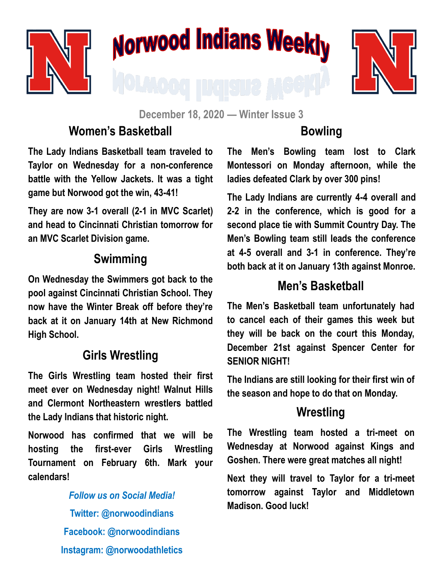

# Norwood Indians Weekly



**December 18, 2020 — Winter Issue 3**

#### **Women's Basketball**

**The Lady Indians Basketball team traveled to Taylor on Wednesday for a non-conference battle with the Yellow Jackets. It was a tight game but Norwood got the win, 43-41!**

**They are now 3-1 overall (2-1 in MVC Scarlet) and head to Cincinnati Christian tomorrow for an MVC Scarlet Division game.** 

#### **Swimming**

**On Wednesday the Swimmers got back to the pool against Cincinnati Christian School. They now have the Winter Break off before they're back at it on January 14th at New Richmond High School.**

#### **Girls Wrestling**

**The Girls Wrestling team hosted their first meet ever on Wednesday night! Walnut Hills and Clermont Northeastern wrestlers battled the Lady Indians that historic night.**

**Norwood has confirmed that we will be hosting the first-ever Girls Wrestling Tournament on February 6th. Mark your calendars!**

> *Follow us on Social Media!* **Twitter: @norwoodindians Facebook: @norwoodindians Instagram: @norwoodathletics**

### **Bowling**

**The Men's Bowling team lost to Clark Montessori on Monday afternoon, while the ladies defeated Clark by over 300 pins!**

**The Lady Indians are currently 4-4 overall and 2-2 in the conference, which is good for a second place tie with Summit Country Day. The Men's Bowling team still leads the conference at 4-5 overall and 3-1 in conference. They're both back at it on January 13th against Monroe.**

#### **Men's Basketball**

**The Men's Basketball team unfortunately had to cancel each of their games this week but they will be back on the court this Monday, December 21st against Spencer Center for SENIOR NIGHT!**

**The Indians are still looking for their first win of the season and hope to do that on Monday.**

#### **Wrestling**

**The Wrestling team hosted a tri-meet on Wednesday at Norwood against Kings and Goshen. There were great matches all night!** 

**Next they will travel to Taylor for a tri-meet tomorrow against Taylor and Middletown Madison. Good luck!**